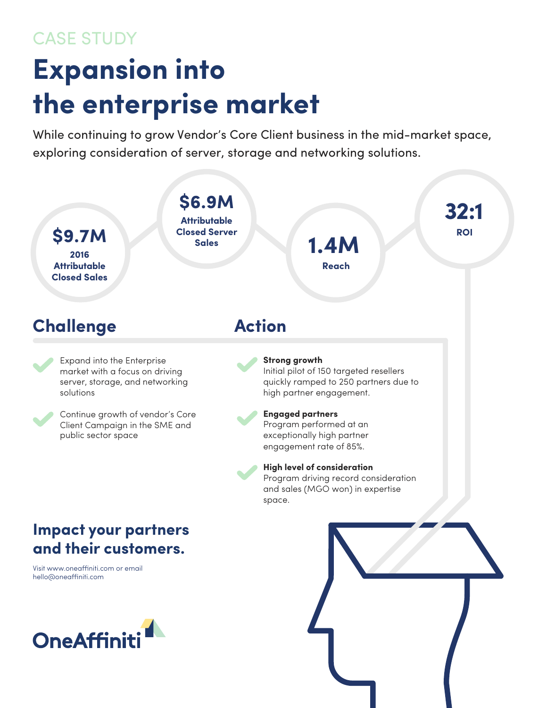## CASE STUDY

## **Expansion into the enterprise market**

While continuing to grow Vendor's Core Client business in the mid-market space, exploring consideration of server, storage and networking solutions.